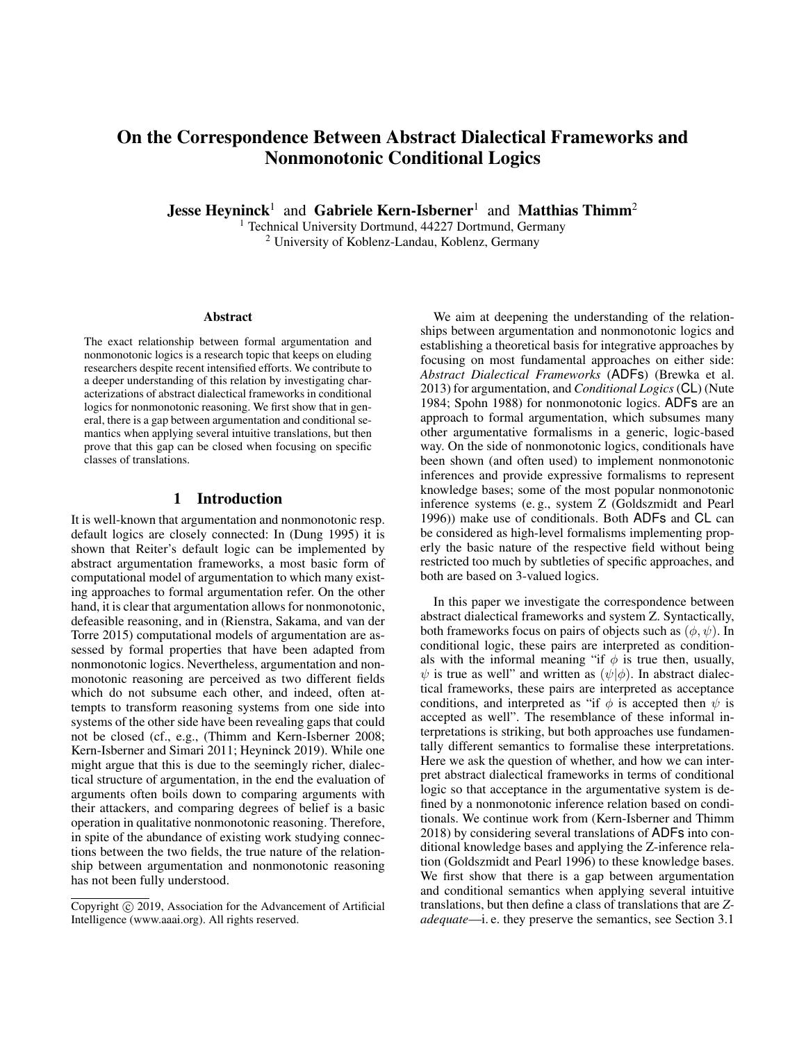# On the Correspondence Between Abstract Dialectical Frameworks and Nonmonotonic Conditional Logics

**Jesse Heyninck**<sup>1</sup> and Gabriele Kern-Isberner<sup>1</sup> and Matthias Thimm<sup>2</sup>

<sup>1</sup> Technical University Dortmund, 44227 Dortmund, Germany <sup>2</sup> University of Koblenz-Landau, Koblenz, Germany

#### Abstract

The exact relationship between formal argumentation and nonmonotonic logics is a research topic that keeps on eluding researchers despite recent intensified efforts. We contribute to a deeper understanding of this relation by investigating characterizations of abstract dialectical frameworks in conditional logics for nonmonotonic reasoning. We first show that in general, there is a gap between argumentation and conditional semantics when applying several intuitive translations, but then prove that this gap can be closed when focusing on specific classes of translations.

## 1 Introduction

It is well-known that argumentation and nonmonotonic resp. default logics are closely connected: In (Dung 1995) it is shown that Reiter's default logic can be implemented by abstract argumentation frameworks, a most basic form of computational model of argumentation to which many existing approaches to formal argumentation refer. On the other hand, it is clear that argumentation allows for nonmonotonic, defeasible reasoning, and in (Rienstra, Sakama, and van der Torre 2015) computational models of argumentation are assessed by formal properties that have been adapted from nonmonotonic logics. Nevertheless, argumentation and nonmonotonic reasoning are perceived as two different fields which do not subsume each other, and indeed, often attempts to transform reasoning systems from one side into systems of the other side have been revealing gaps that could not be closed (cf., e.g., (Thimm and Kern-Isberner 2008; Kern-Isberner and Simari 2011; Heyninck 2019). While one might argue that this is due to the seemingly richer, dialectical structure of argumentation, in the end the evaluation of arguments often boils down to comparing arguments with their attackers, and comparing degrees of belief is a basic operation in qualitative nonmonotonic reasoning. Therefore, in spite of the abundance of existing work studying connections between the two fields, the true nature of the relationship between argumentation and nonmonotonic reasoning has not been fully understood.

We aim at deepening the understanding of the relationships between argumentation and nonmonotonic logics and establishing a theoretical basis for integrative approaches by focusing on most fundamental approaches on either side: *Abstract Dialectical Frameworks* (ADFs) (Brewka et al. 2013) for argumentation, and *Conditional Logics*(CL) (Nute 1984; Spohn 1988) for nonmonotonic logics. ADFs are an approach to formal argumentation, which subsumes many other argumentative formalisms in a generic, logic-based way. On the side of nonmonotonic logics, conditionals have been shown (and often used) to implement nonmonotonic inferences and provide expressive formalisms to represent knowledge bases; some of the most popular nonmonotonic inference systems (e. g., system Z (Goldszmidt and Pearl 1996)) make use of conditionals. Both ADFs and CL can be considered as high-level formalisms implementing properly the basic nature of the respective field without being restricted too much by subtleties of specific approaches, and both are based on 3-valued logics.

In this paper we investigate the correspondence between abstract dialectical frameworks and system Z. Syntactically, both frameworks focus on pairs of objects such as  $(\phi, \psi)$ . In conditional logic, these pairs are interpreted as conditionals with the informal meaning "if  $\phi$  is true then, usually,  $\psi$  is true as well" and written as  $(\psi|\phi)$ . In abstract dialectical frameworks, these pairs are interpreted as acceptance conditions, and interpreted as "if  $\phi$  is accepted then  $\psi$  is accepted as well". The resemblance of these informal interpretations is striking, but both approaches use fundamentally different semantics to formalise these interpretations. Here we ask the question of whether, and how we can interpret abstract dialectical frameworks in terms of conditional logic so that acceptance in the argumentative system is defined by a nonmonotonic inference relation based on conditionals. We continue work from (Kern-Isberner and Thimm 2018) by considering several translations of ADFs into conditional knowledge bases and applying the Z-inference relation (Goldszmidt and Pearl 1996) to these knowledge bases. We first show that there is a gap between argumentation and conditional semantics when applying several intuitive translations, but then define a class of translations that are *Zadequate*—i. e. they preserve the semantics, see Section 3.1

Copyright (c) 2019, Association for the Advancement of Artificial Intelligence (www.aaai.org). All rights reserved.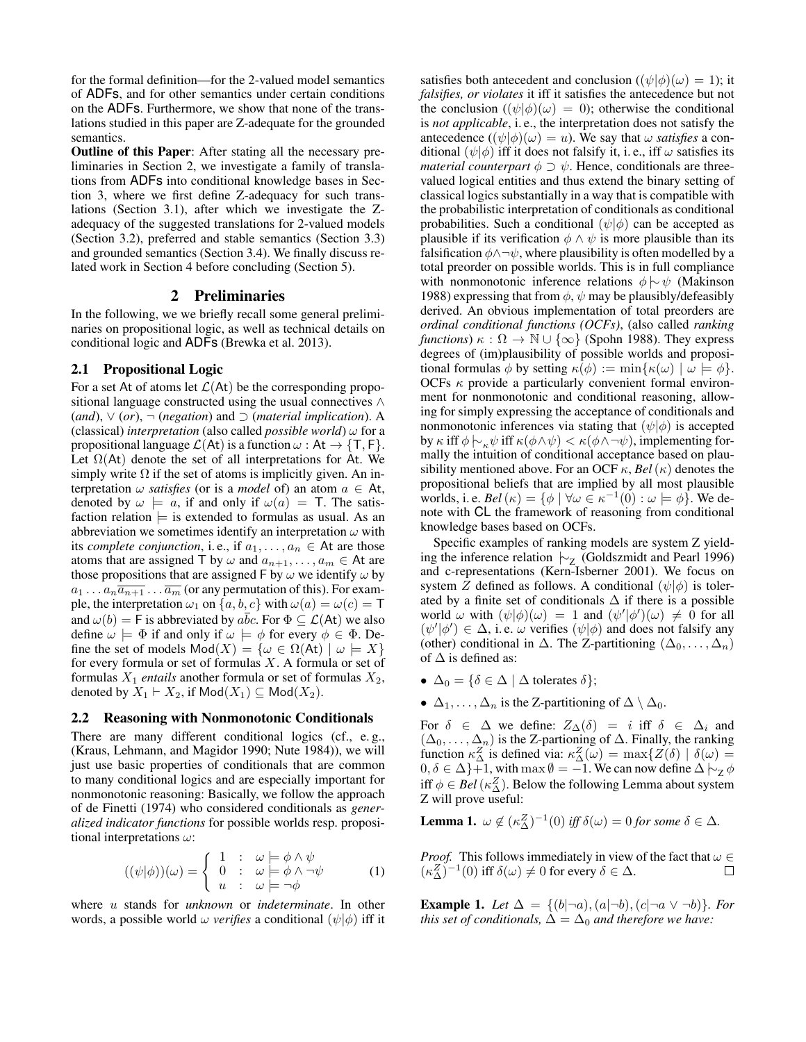for the formal definition—for the 2-valued model semantics of ADFs, and for other semantics under certain conditions on the ADFs. Furthermore, we show that none of the translations studied in this paper are Z-adequate for the grounded semantics.

Outline of this Paper: After stating all the necessary preliminaries in Section 2, we investigate a family of translations from ADFs into conditional knowledge bases in Section 3, where we first define Z-adequacy for such translations (Section 3.1), after which we investigate the Zadequacy of the suggested translations for 2-valued models (Section 3.2), preferred and stable semantics (Section 3.3) and grounded semantics (Section 3.4). We finally discuss related work in Section 4 before concluding (Section 5).

## 2 Preliminaries

In the following, we we briefly recall some general preliminaries on propositional logic, as well as technical details on conditional logic and ADFs (Brewka et al. 2013).

## 2.1 Propositional Logic

For a set At of atoms let  $\mathcal{L}(A_t)$  be the corresponding propositional language constructed using the usual connectives ∧ (*and*), ∨ (*or*), ¬ (*negation*) and ⊃ (*material implication*). A (classical) *interpretation* (also called *possible world*)  $\omega$  for a propositional language  $\mathcal{L}(At)$  is a function  $\omega : At \rightarrow \{T, F\}.$ Let  $\Omega(At)$  denote the set of all interpretations for At. We simply write  $\Omega$  if the set of atoms is implicitly given. An interpretation  $\omega$  *satisfies* (or is a *model* of) an atom  $a \in At$ , denoted by  $\omega \models a$ , if and only if  $\omega(a) = T$ . The satisfaction relation  $\models$  is extended to formulas as usual. As an abbreviation we sometimes identify an interpretation  $\omega$  with its *complete conjunction*, i.e., if  $a_1, \ldots, a_n \in$  At are those atoms that are assigned T by  $\omega$  and  $a_{n+1}, \ldots, a_m \in$  At are those propositions that are assigned F by  $\omega$  we identify  $\omega$  by  $a_1 \ldots a_n \overline{a_{n+1}} \ldots \overline{a_m}$  (or any permutation of this). For example, the interpretation  $\omega_1$  on  $\{a, b, c\}$  with  $\omega(a) = \omega(c) = \mathsf{T}$ and  $\omega(b) = \mathsf{F}$  is abbreviated by  $a\overline{b}c$ . For  $\Phi \subseteq \mathcal{L}(\mathsf{At})$  we also define  $\omega \models \Phi$  if and only if  $\omega \models \phi$  for every  $\phi \in \Phi$ . Define the set of models  $Mod(X) = {\omega \in \Omega(\mathsf{At}) \mid \omega \models X}$ for every formula or set of formulas  $X$ . A formula or set of formulas  $X_1$  *entails* another formula or set of formulas  $X_2$ , denoted by  $X_1 \vdash X_2$ , if  $\mathsf{Mod}(X_1) \subseteq \mathsf{Mod}(X_2)$ .

#### 2.2 Reasoning with Nonmonotonic Conditionals

There are many different conditional logics (cf., e.g., (Kraus, Lehmann, and Magidor 1990; Nute 1984)), we will just use basic properties of conditionals that are common to many conditional logics and are especially important for nonmonotonic reasoning: Basically, we follow the approach of de Finetti (1974) who considered conditionals as *generalized indicator functions* for possible worlds resp. propositional interpretations  $\omega$ :

$$
((\psi|\phi))(\omega) = \begin{cases} 1 : & \omega \models \phi \land \psi \\ 0 : & \omega \models \phi \land \neg \psi \\ u : & \omega \models \neg \phi \end{cases} \tag{1}
$$

where u stands for *unknown* or *indeterminate*. In other words, a possible world  $\omega$  *verifies* a conditional  $(\psi | \phi)$  iff it satisfies both antecedent and conclusion ( $(\psi|\phi)(\omega) = 1$ ); it *falsifies, or violates* it iff it satisfies the antecedence but not the conclusion  $((\psi|\phi)(\omega) = 0)$ ; otherwise the conditional is *not applicable*, i. e., the interpretation does not satisfy the antecedence  $((\psi|\phi)(\omega) = u)$ . We say that  $\omega$  *satisfies* a conditional  $(\psi|\phi)$  iff it does not falsify it, i.e., iff  $\omega$  satisfies its *material counterpart*  $\phi \supset \psi$ . Hence, conditionals are threevalued logical entities and thus extend the binary setting of classical logics substantially in a way that is compatible with the probabilistic interpretation of conditionals as conditional probabilities. Such a conditional  $(\psi | \phi)$  can be accepted as plausible if its verification  $\phi \land \psi$  is more plausible than its falsification  $\phi \land \neg \psi$ , where plausibility is often modelled by a total preorder on possible worlds. This is in full compliance with nonmonotonic inference relations  $\phi \sim \psi$  (Makinson 1988) expressing that from  $\phi$ ,  $\psi$  may be plausibly/defeasibly derived. An obvious implementation of total preorders are *ordinal conditional functions (OCFs)*, (also called *ranking functions*)  $\kappa : \Omega \to \mathbb{N} \cup \{\infty\}$  (Spohn 1988). They express degrees of (im)plausibility of possible worlds and propositional formulas  $\phi$  by setting  $\kappa(\phi) := \min{\kappa(\omega) \mid \omega \models \phi}$ . OCFs  $\kappa$  provide a particularly convenient formal environment for nonmonotonic and conditional reasoning, allowing for simply expressing the acceptance of conditionals and nonmonotonic inferences via stating that  $(\psi | \phi)$  is accepted by  $\kappa$  iff  $\phi \sim_{\kappa} \psi$  iff  $\kappa(\phi \land \psi) < \kappa(\phi \land \neg \psi)$ , implementing formally the intuition of conditional acceptance based on plausibility mentioned above. For an OCF  $\kappa$ , *Bel*( $\kappa$ ) denotes the propositional beliefs that are implied by all most plausible worlds, i. e.  $Bel(\kappa) = {\phi \mid \forall \omega \in \kappa^{-1}(0) : \omega \models \phi}$ . We denote with CL the framework of reasoning from conditional knowledge bases based on OCFs.

Specific examples of ranking models are system Z yielding the inference relation  $\vdash$ <sub>Z</sub> (Goldszmidt and Pearl 1996) and c-representations (Kern-Isberner 2001). We focus on system Z defined as follows. A conditional  $(\psi | \phi)$  is tolerated by a finite set of conditionals  $\Delta$  if there is a possible world  $\omega$  with  $(\psi|\phi)(\omega) = 1$  and  $(\psi'|\phi')(\omega) \neq 0$  for all  $(\psi'|\phi') \in \Delta$ , i.e.  $\omega$  verifies  $(\psi|\phi)$  and does not falsify any (other) conditional in  $\Delta$ . The Z-partitioning  $(\Delta_0, \ldots, \Delta_n)$ of  $\Delta$  is defined as:

- $\Delta_0 = \{ \delta \in \Delta \mid \Delta \text{ tolerates } \delta \};$
- $\Delta_1, \ldots, \Delta_n$  is the Z-partitioning of  $\Delta \setminus \Delta_0$ .

For  $\delta \in \Delta$  we define:  $Z_{\Delta}(\delta) = i$  iff  $\delta \in \Delta_i$  and  $(\Delta_0, \ldots, \Delta_n)$  is the Z-partioning of  $\Delta$ . Finally, the ranking function  $\kappa_{\Delta}^{Z}$  is defined via:  $\kappa_{\Delta}^{Z}(\omega) = \max\{Z(\delta) | \delta(\omega) =$  $0, \delta \in \Delta\}+1$ , with max  $\emptyset = -1$ . We can now define  $\Delta \n\sim_{\mathbb{Z}} \phi$ iff  $\phi \in Bel(\kappa_{\Delta}^Z)$ . Below the following Lemma about system Z will prove useful:

**Lemma 1.**  $\omega \notin (\kappa_{\Delta}^Z)^{-1}(0)$  *iff*  $\delta(\omega) = 0$  *for some*  $\delta \in \Delta$ *.* 

*Proof.* This follows immediately in view of the fact that  $\omega \in$  $(\kappa_{\Delta}^{Z})^{-1}(0)$  iff  $\delta(\omega) \neq 0$  for every  $\delta \in \Delta$ .  $\Box$ 

**Example 1.** *Let*  $\Delta = \{(b|\neg a), (a|\neg b), (c|\neg a \lor \neg b)\}$ *. For this set of conditionals,*  $\Delta = \Delta_0$  *and therefore we have:*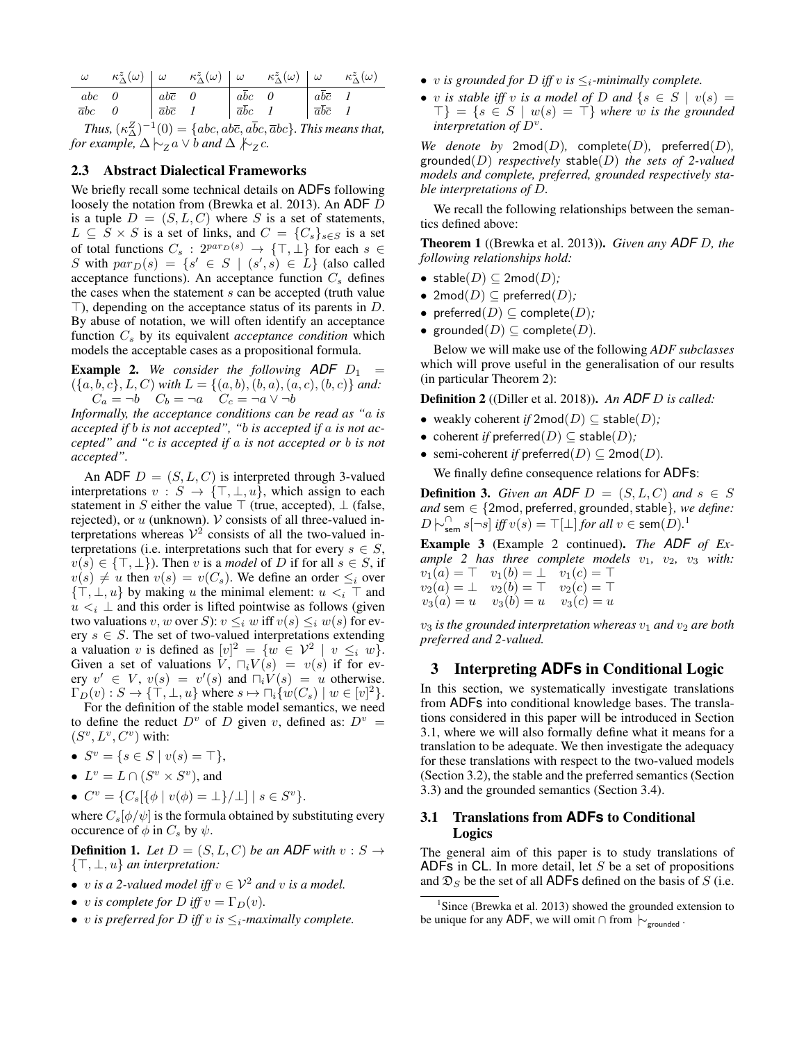|                                                              | $\omega \qquad \kappa_{\Delta}^z(\omega) \begin{vmatrix} \omega & \kappa_{\Delta}^z(\omega) \end{vmatrix} \begin{vmatrix} \omega & \kappa_{\Delta}^z(\omega) \end{vmatrix} \begin{vmatrix} \omega & \kappa_{\Delta}^z(\omega) \end{vmatrix}$                                                                                                                                     |  |  |  |  |  |  |
|--------------------------------------------------------------|----------------------------------------------------------------------------------------------------------------------------------------------------------------------------------------------------------------------------------------------------------------------------------------------------------------------------------------------------------------------------------|--|--|--|--|--|--|
|                                                              | $\left[\begin{array}{ccc ccc} abc & 0 & abc & 0 & ab\bar{c} & 0 & ab\bar{c} & 0 & ab\bar{c} & 1 & ab\bar{c} & 1 & ab\bar{c} & 1 & ab\bar{c} & 1 & ab\bar{c} & 1 & ab\bar{c} & 1 & ab\bar{c} & 1 & ab\bar{c} & 1 & ab\bar{c} & 1 & ab\bar{c} & 1 & ab\bar{c} & 1 & ab\bar{c} & 1 & ab\bar{c} & 1 & ab\bar{c} & 1 & ab\bar{c} & 1 & ab\bar{c} & 1 & ab\bar{c} & 1 & ab\bar{c} & 1$ |  |  |  |  |  |  |
|                                                              |                                                                                                                                                                                                                                                                                                                                                                                  |  |  |  |  |  |  |
| $T_{bus}(\mu Z) = 1(0)$ (ake also also she I This magnetical |                                                                                                                                                                                                                                                                                                                                                                                  |  |  |  |  |  |  |

*Thus,*  $(\kappa_{\Delta}^{Z})^{-1}(0) = \{abc, ab\overline{c}, a\overline{b}c, \overline{a}bc\}$ *. This means that, for example,*  $\Delta \nmid∼ z a \lor b$  *and*  $\Delta \nmid √ z c$ .

#### 2.3 Abstract Dialectical Frameworks

We briefly recall some technical details on **ADFs** following loosely the notation from (Brewka et al. 2013). An ADF D is a tuple  $D = (S, L, C)$  where S is a set of statements,  $L \subseteq S \times S$  is a set of links, and  $C = \{C_s\}_{s \in S}$  is a set of total functions  $C_s$ :  $2^{par_D(s)} \rightarrow \{\top, \bot\}$  for each  $s \in$ S with  $par_D(s) = \{s' \in S \mid (s', s) \in L\}$  (also called acceptance functions). An acceptance function  $C_s$  defines the cases when the statement  $s$  can be accepted (truth value  $\top$ ), depending on the acceptance status of its parents in D. By abuse of notation, we will often identify an acceptance function  $C_s$  by its equivalent *acceptance condition* which models the acceptable cases as a propositional formula.

**Example 2.** We consider the following  $ADF D_1$  =  $({a, b, c}, L, C)$  *with*  $L = {(a, b), (b, a), (a, c), (b, c)}$  *and:*  $C_a = -b$   $C_b = -a$   $C_c = -a \sqrt{-b}$ 

*Informally, the acceptance conditions can be read as "*a *is accepted if* b *is not accepted", "*b *is accepted if* a *is not accepted" and "*c *is accepted if* a *is not accepted or* b *is not accepted".*

An ADF  $D = (S, L, C)$  is interpreted through 3-valued interpretations  $v : S \to \{T, \perp, u\}$ , which assign to each statement in S either the value  $\top$  (true, accepted),  $\bot$  (false, rejected), or  $u$  (unknown).  $V$  consists of all three-valued interpretations whereas  $V^2$  consists of all the two-valued interpretations (i.e. interpretations such that for every  $s \in S$ ,  $v(s) \in \{\top, \bot\}$ ). Then v is a *model* of D if for all  $s \in S$ , if  $v(s) \neq u$  then  $v(s) = v(C_s)$ . We define an order  $\leq_i$  over  $\{\top, \bot, u\}$  by making u the minimal element:  $u *i*$   $\top$  and  $u \lt_i \perp$  and this order is lifted pointwise as follows (given two valuations v, w over S):  $v \leq_i w$  iff  $v(s) \leq_i w(s)$  for every  $s \in S$ . The set of two-valued interpretations extending a valuation v is defined as  $[v]^2 = \{w \in \mathcal{V}^2 \mid v \leq_i w\}.$ Given a set of valuations  $V$ ,  $\Box_i V(s) = v(s)$  if for every  $v' \in V$ ,  $v(s) = v'(s)$  and  $\Box_i V(s) = u$  otherwise.  $\Gamma_D(v) : S \to \{ \top, \bot, u \}$  where  $s \mapsto \sqcap_i \{ w(C_s) \mid w \in [v]^2 \}.$ 

For the definition of the stable model semantics, we need to define the reduct  $D^v$  of D given v, defined as:  $D^v =$  $(S^v, L^v, C^v)$  with:

- $S^v = \{ s \in S \mid v(s) = \top \},\$
- $L^v = L \cap (S^v \times S^v)$ , and
- $C^v = \{C_s[\{\phi \mid v(\phi) = \bot\}/\bot] \mid s \in S^v\}.$

where  $C_s[\phi/\psi]$  is the formula obtained by substituting every occurence of  $\phi$  in  $C_s$  by  $\psi$ .

**Definition 1.** Let  $D = (S, L, C)$  be an ADF with  $v : S \rightarrow$ {>, ⊥, u} *an interpretation:*

- v *is a 2-valued model iff*  $v \in V^2$  *and* v *is a model.*
- *v is complete for D iff*  $v = \Gamma_D(v)$ *.*
- v *is preferred for D iff* v *is*  $\leq_i$ -maximally complete.
- v *is grounded for D iff* v *is*  $\leq_i$ -minimally complete.
- v *is stable iff* v *is a model of* D *and*  $\{s \in S \mid v(s) = \}$  $\{\top\} = \{s \in S \mid w(s) = \top\}$  where w is the grounded *interpretation of* D<sup>v</sup> *.*

*We denote by* 2mod $(D)$ , complete $(D)$ , preferred $(D)$ , grounded(D) *respectively* stable(D) *the sets of 2-valued models and complete, preferred, grounded respectively stable interpretations of* D*.*

We recall the following relationships between the semantics defined above:

Theorem 1 ((Brewka et al. 2013)). *Given any ADF* D*, the following relationships hold:*

- stable $(D) \subseteq 2 \text{mod}(D)$ ;
- 2 $mod(D) \subseteq$  preferred $(D)$ ;
- preferred $(D) \subseteq \text{complete}(D)$ ;
- grounded $(D) \subseteq \text{complete}(D)$ .

Below we will make use of the following *ADF subclasses* which will prove useful in the generalisation of our results (in particular Theorem 2):

Definition 2 ((Diller et al. 2018)). *An ADF* D *is called:*

- weakly coherent *if*  $2 \text{mod}(D) \subseteq \text{stable}(D)$ ;
- coherent *if* preferred $(D) \subseteq$  stable $(D)$ ;
- semi-coherent *if* preferred $(D) \subseteq 2 \text{mod}(D)$ .

We finally define consequence relations for ADFs:

**Definition 3.** Given an ADF  $D = (S, L, C)$  and  $s \in S$ *and* sem ∈ {2mod, preferred, grounded, stable}, we define:  $D$   $\big| \sim_{\mathsf{sem}}^{\cap} s[\neg s]$  *iff*  $v(s) = \top [\bot]$  *for all*  $v \in \mathsf{sem}(D)$ <sup>1</sup>

Example 3 (Example 2 continued). *The ADF of Example 2 has three complete models*  $v_1$ ,  $v_2$ ,  $v_3$  *with:*  $v_1(a) = \top$   $v_1(b) = \bot$   $v_1(c) = \top$  $v_2(a) = \bot \quad v_2(b) = \top \quad v_2(c) = \top$ 

$$
v_3(a) = u \t v_3(b) = u \t v_3(c) = u
$$

 $v_3$  *is the grounded interpretation whereas*  $v_1$  *and*  $v_2$  *are both preferred and 2-valued.*

## 3 Interpreting **ADFs** in Conditional Logic

In this section, we systematically investigate translations from ADFs into conditional knowledge bases. The translations considered in this paper will be introduced in Section 3.1, where we will also formally define what it means for a translation to be adequate. We then investigate the adequacy for these translations with respect to the two-valued models (Section 3.2), the stable and the preferred semantics (Section 3.3) and the grounded semantics (Section 3.4).

## 3.1 Translations from **ADFs** to Conditional Logics

The general aim of this paper is to study translations of ADFs in CL. In more detail, let  $S$  be a set of propositions and  $\mathfrak{D}_S$  be the set of all ADFs defined on the basis of S (i.e.

<sup>&</sup>lt;sup>1</sup>Since (Brewka et al. 2013) showed the grounded extension to be unique for any ADF, we will omit ∩ from  $\downarrow_{\text{grounded}}$ .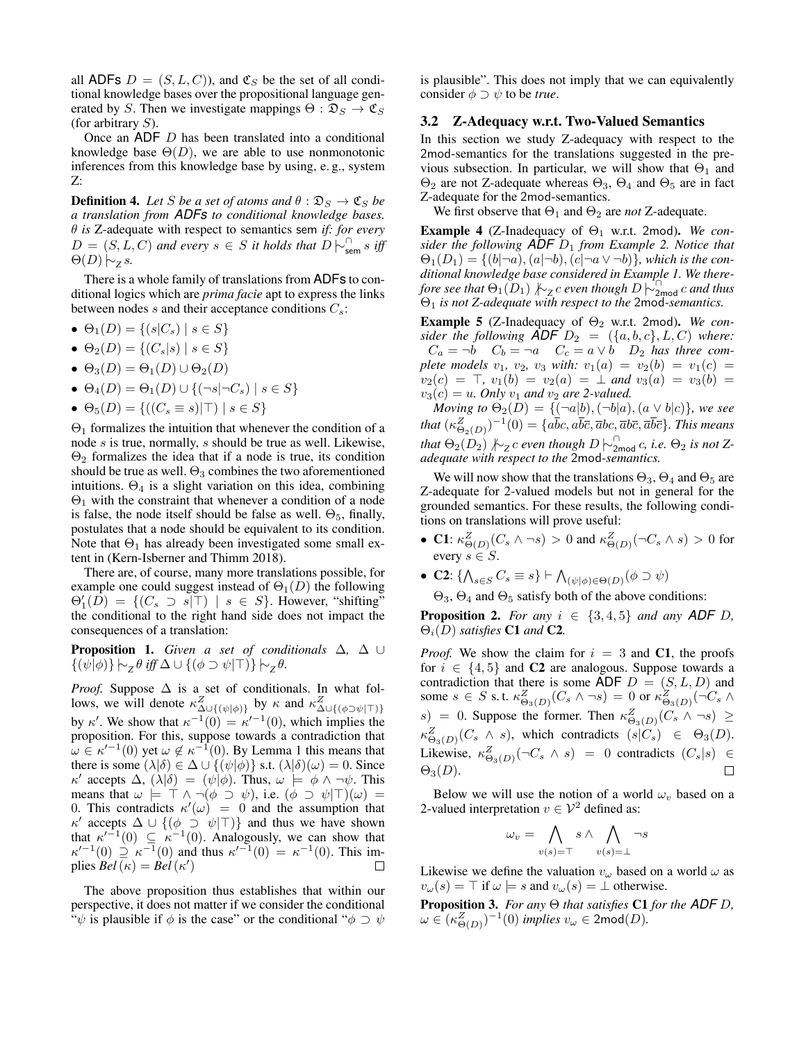all ADFs  $D = (S, L, C)$ , and  $\mathfrak{C}_S$  be the set of all conditional knowledge bases over the propositional language generated by S. Then we investigate mappings  $\Theta : \mathfrak{D}_S \to \mathfrak{C}_S$ (for arbitrary  $S$ ).

Once an ADF D has been translated into a conditional knowledge base  $\Theta(D)$ , we are able to use nonmonotonic inferences from this knowledge base by using, e. g., system Z:

**Definition 4.** Let S be a set of atoms and  $\theta : \mathfrak{D}_S \to \mathfrak{C}_S$  be *a translation from ADFs to conditional knowledge bases.* θ *is* Z-adequate with respect to semantics sem *if: for every*  $D = (S, L, C)$  *and every*  $s \in S$  *it holds that*  $D \nvert \sim_{sem}^{\cap} s$  *iff*  $\Theta(D) \big| \sim$ <sub>*Z*</sub> *s.* 

There is a whole family of translations from ADFs to conditional logics which are *prima facie* apt to express the links between nodes s and their acceptance conditions  $C_s$ :

- $\Theta_1(D) = \{(s|C_s) \mid s \in S\}$
- $\Theta_2(D) = \{(C_s|s) \mid s \in S\}$
- $\Theta_3(D) = \Theta_1(D) \cup \Theta_2(D)$
- $\Theta_4(D) = \Theta_1(D) \cup \{(\neg s | \neg C_s) \mid s \in S\}$
- $\Theta_5(D) = \{((C_s \equiv s) | \top) | s \in S\}$

 $\Theta_1$  formalizes the intuition that whenever the condition of a node s is true, normally, s should be true as well. Likewise,  $\Theta_2$  formalizes the idea that if a node is true, its condition should be true as well.  $\Theta_3$  combines the two aforementioned intuitions.  $\Theta_4$  is a slight variation on this idea, combining  $\Theta_1$  with the constraint that whenever a condition of a node is false, the node itself should be false as well.  $\Theta_5$ , finally, postulates that a node should be equivalent to its condition. Note that  $\Theta_1$  has already been investigated some small extent in (Kern-Isberner and Thimm 2018).

There are, of course, many more translations possible, for example one could suggest instead of  $\Theta_1(D)$  the following  $\Theta'_{1}(\overline{D}) = \{ (C_s \supset s | \top) \mid s \in S \}.$  However, "shifting" the conditional to the right hand side does not impact the consequences of a translation:

Proposition 1. *Given a set of conditionals* ∆*,* ∆ ∪  $\{(\psi|\phi)\}\leftarrow_z \theta \text{ iff } \Delta \cup \{(\phi \supset \psi|\top)\}\leftarrow_z \theta.$ 

*Proof.* Suppose  $\Delta$  is a set of conditionals. In what follows, we will denote  $\kappa^Z_{\Delta \cup \{(\psi|\phi)\}}$  by  $\kappa$  and  $\kappa^Z_{\Delta \cup \{(\phi \supset \psi|\top)\}}$ by  $\kappa'$ . We show that  $\kappa^{-1}(0) = \kappa'^{-1}(0)$ , which implies the proposition. For this, suppose towards a contradiction that  $\omega \in \kappa'^{-1}(0)$  yet  $\omega \notin \kappa^{-1}(0)$ . By Lemma 1 this means that there is some  $(\lambda|\delta) \in \Delta \cup \{(\psi|\phi)\}\$  s.t.  $(\lambda|\delta)(\omega) = 0$ . Since  $\kappa'$  accepts  $\Delta$ ,  $(\lambda|\delta) = (\psi|\phi)$ . Thus,  $\omega \models \phi \land \neg \psi$ . This means that  $\omega \models \top \land \neg(\phi \supset \psi)$ , i.e.  $(\phi \supset \psi | \top)(\omega) =$ 0. This contradicts  $\kappa'(\omega) = 0$  and the assumption that  $\kappa'$  accepts  $\Delta \cup \{(\phi \supset \psi | \top)\}\$  and thus we have shown that  $\kappa'^{-1}(0) \subseteq \kappa^{-1}(0)$ . Analogously, we can show that  $\kappa'^{-1}(0) \supseteq \kappa^{-1}(0)$  and thus  $\kappa'^{-1}(0) = \kappa^{-1}(0)$ . This implies  $\overline{Bel}(\kappa) = \overline{Bel}(\kappa')$ П

The above proposition thus establishes that within our perspective, it does not matter if we consider the conditional " $\psi$  is plausible if  $\phi$  is the case" or the conditional " $\phi \supset \psi$  is plausible". This does not imply that we can equivalently consider  $\phi \supset \psi$  to be *true*.

## 3.2 Z-Adequacy w.r.t. Two-Valued Semantics

In this section we study Z-adequacy with respect to the 2mod-semantics for the translations suggested in the previous subsection. In particular, we will show that  $\Theta_1$  and  $\Theta_2$  are not Z-adequate whereas  $\Theta_3$ ,  $\Theta_4$  and  $\Theta_5$  are in fact Z-adequate for the 2mod-semantics.

We first observe that  $\Theta_1$  and  $\Theta_2$  are *not* Z-adequate.

Example 4 (Z-Inadequacy of Θ<sup>1</sup> w.r.t. 2mod). *We consider the following ADF* D<sup>1</sup> *from Example 2. Notice that*  $\Theta_1(D_1) = \{ (b | \neg a), (a | \neg b), (c | \neg a \vee \neg b) \}$ *, which is the conditional knowledge base considered in Example 1. We therefore see that*  $\Theta_1(D_1) \not\sim_Z c$  *even though*  $D \not\sim_{2\text{mod}}^{\text{C}} c$  *and thus* Θ<sup>1</sup> *is not Z-adequate with respect to the* 2mod*-semantics.*

**Example 5** (Z-Inadequacy of  $\Theta_2$  w.r.t. 2mod). *We consider the following* **ADF**  $D_2 = (\{a, b, c\}, L, C)$  *where:*  $C_a = \neg b$   $C_b = \neg a$   $C_c = a \lor b$   $D_2$  *has three complete models*  $v_1$ ,  $v_2$ ,  $v_3$  *with:*  $v_1(a) = v_2(b) = v_1(c)$  $v_2(c) = \top$ ,  $v_1(b) = v_2(a) = \bot$  and  $v_3(a) = v_3(b) = \top$  $v_3(c) = u$ . Only  $v_1$  and  $v_2$  are 2-valued.

*Moving to*  $\Theta_2(D) = \{(\neg a|b), (\neg b|a), (a \vee b|c)\}$ *, we see* that  $(\kappa_{\Theta_2(D)}^Z)^{-1}(0) = \{a\bar{b}c, a\bar{b}\bar{c}, \overline{a}bc, \overline{a}b\bar{c}, \overline{a}\bar{b}\bar{c}\}$ *. This means that*  $\Theta_2(D_2) \nmid\hspace{-.05cm}\sim_Z c$  even though  $D \mid\hspace{-.05cm}\sim_{2\mathsf{mod}}^{\cap} c$ , i.e.  $\Theta_2$  is not Z*adequate with respect to the* 2mod*-semantics.*

We will now show that the translations  $\Theta_3$ ,  $\Theta_4$  and  $\Theta_5$  are Z-adequate for 2-valued models but not in general for the grounded semantics. For these results, the following conditions on translations will prove useful:

- C1:  $\kappa_{\Theta(D)}^Z(C_s \wedge \neg s) > 0$  and  $\kappa_{\Theta(D)}^Z(\neg C_s \wedge s) > 0$  for every  $s \in S$ .
- C2:  $\{\bigwedge_{s\in S} C_s \equiv s\} \vdash \bigwedge_{(\psi|\phi)\in\Theta(D)} (\phi\supset\psi)$

 $\Theta_3$ ,  $\Theta_4$  and  $\Theta_5$  satisfy both of the above conditions:

**Proposition 2.** *For any*  $i \in \{3, 4, 5\}$  *and any ADF D*,  $\Theta_i(D)$  *satisfies* **C1** and **C2**.

*Proof.* We show the claim for  $i = 3$  and C1, the proofs for  $i \in \{4, 5\}$  and C2 are analogous. Suppose towards a contradiction that there is some ADF  $D = (S, L, D)$  and some  $s \in S$  s.t.  $\kappa_{\Theta_3(D)}^Z(C_s \wedge \neg s) = 0$  or  $\kappa_{\Theta_3(D)}^Z(\neg C_s \wedge \neg s)$  $s) = 0$ . Suppose the former. Then  $\kappa_{\Theta_3(D)}^Z(C_s \wedge \neg s) \geq$  $\kappa_{\Theta_3(D)}^Z(C_s \wedge s)$ , which contradicts  $(s|C_s) \in \Theta_3(D)$ . Likewise,  $\kappa_{\Theta_3(D)}^Z(\neg C_s \land s) = 0$  contradicts  $(C_s|s) \in$  $\Theta_3(D)$ .

Below we will use the notion of a world  $\omega_v$  based on a 2-valued interpretation  $v \in \mathcal{V}^2$  defined as:

$$
\omega_v = \bigwedge_{v(s) = \top} s \land \bigwedge_{v(s) = \bot} \neg s
$$

Likewise we define the valuation  $v_\omega$  based on a world  $\omega$  as  $v_{\omega}(s) = \top$  if  $\omega \models s$  and  $v_{\omega}(s) = \bot$  otherwise.

Proposition 3. *For any* Θ *that satisfies* C1 *for the ADF* D*,*  $\omega \in (\kappa_{\Theta(D)}^Z)^{-1}(0)$  *implies*  $v_\omega \in 2\text{mod}(D)$ .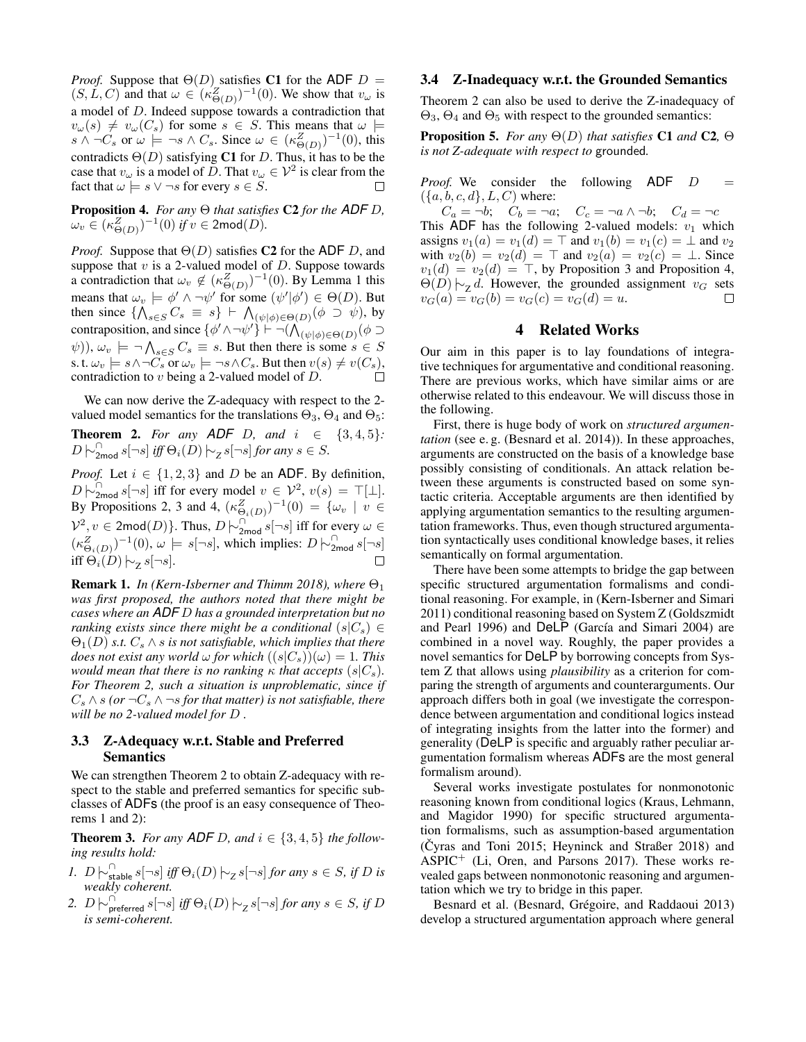*Proof.* Suppose that  $\Theta(D)$  satisfies C1 for the ADF  $D =$  $(S, L, C)$  and that  $\omega \in (\kappa_{\Theta(D)}^Z)^{-1}(0)$ . We show that  $v_{\omega}$  is a model of D. Indeed suppose towards a contradiction that  $v_\omega(s) \neq v_\omega(C_s)$  for some  $s \in S$ . This means that  $\omega \models$  $s \wedge \neg C_s$  or  $\omega \models \neg s \wedge C_s$ . Since  $\omega \in (\kappa_{\Theta(D)}^Z)^{-1}(0)$ , this contradicts  $\Theta(D)$  satisfying C1 for D. Thus, it has to be the case that  $v_\omega$  is a model of D. That  $v_\omega \in \mathcal{V}^2$  is clear from the fact that  $\omega \models s \vee \neg s$  for every  $s \in S$ .  $\Box$ 

Proposition 4. *For any* Θ *that satisfies* C2 *for the ADF* D*,*  $\omega_v \in (\kappa^Z_{\Theta(D)})^{-1}(0)$  if  $v \in 2{\sf mod}(D).$ 

*Proof.* Suppose that  $\Theta(D)$  satisfies C2 for the ADF D, and suppose that  $v$  is a 2-valued model of  $D$ . Suppose towards a contradiction that  $\omega_v \notin (\kappa_{\Theta(D)}^Z)^{-1}(0)$ . By Lemma 1 this means that  $\omega_v \models \phi' \land \neg \psi'$  for some  $(\psi'|\phi') \in \Theta(D)$ . But then since  $\{\bigwedge_{s\in S} C_s \equiv s\} \vdash \bigwedge_{(\psi|\phi)\in\Theta(D)} (\phi \supset \psi)$ , by contraposition, and since  $\{\phi' \wedge \neg \psi'\} \vdash \neg (\bigwedge_{(\psi|\phi) \in \Theta(D)} (\phi \supset$  $(\psi)$ ),  $\omega_v$   $\models \neg \bigwedge_{s \in S} C_s \equiv s$ . But then there is some  $s \in S$ s. t.  $\omega_v \models s \land \neg C_s$  or  $\omega_v \models \neg s \land C_s$ . But then  $v(s) \neq v(C_s)$ , contradiction to  $v$  being a 2-valued model of  $D$ .

We can now derive the Z-adequacy with respect to the 2 valued model semantics for the translations  $\Theta_3$ ,  $\Theta_4$  and  $\Theta_5$ :

**Theorem 2.** For any **ADF** D, and  $i \in \{3, 4, 5\}$ :  $D \biguparrow_{2\text{mod}}^{\cap} s[\neg s]$  *iff*  $\Theta_i(D) \biguparrow_{Z}^{\cap} s[\neg s]$  *for any*  $s \in S$ *.* 

*Proof.* Let  $i \in \{1, 2, 3\}$  and D be an ADF. By definition,  $D\ \dot{\sim}_{2\text{mod}}^{\cap} s[\neg s]$  iff for every model  $v \in \mathcal{V}^2$ ,  $v(s) = \top[\bot]$ . By Propositions 2, 3 and 4,  $(\kappa_{\Theta_i(D)}^Z)^{-1}(0) = \{ \omega_v \mid v \in$  $\mathcal{V}^2$ ,  $v \in 2 \text{mod}(D)$ . Thus,  $D \nvert \sim \Omega$ <sub>2mod</sub> s[¬s] iff for every  $\omega \in$  $(\kappa_{\Theta_i(D)}^Z)^{-1}(0), \omega \models s[\neg s],$  which implies:  $D \models_{\text{2mod}}^{\cap} s[\neg s]$ iff  $\Theta_i(D) \big| \sim_z s[\neg s]$ .  $\Box$ 

**Remark 1.** *In (Kern-Isberner and Thimm 2018), where*  $\Theta_1$ *was first proposed, the authors noted that there might be cases where an ADF* D *has a grounded interpretation but no ranking exists since there might be a conditional*  $(s|C_s) \in$  $\Theta_1(D)$  *s.t.*  $C_s \wedge s$  *is not satisfiable, which implies that there does not exist any world*  $\omega$  *for which*  $((s|C_s))(\omega) = 1$ *. This would mean that there is no ranking*  $\kappa$  *that accepts* ( $s|C_s$ ). *For Theorem 2, such a situation is unproblematic, since if*  $C_s \wedge s$  *(or*  $\neg C_s \wedge \neg s$  *for that matter) is not satisfiable, there will be no 2-valued model for* D *.*

## 3.3 Z-Adequacy w.r.t. Stable and Preferred Semantics

We can strengthen Theorem 2 to obtain Z-adequacy with respect to the stable and preferred semantics for specific subclasses of ADFs (the proof is an easy consequence of Theorems 1 and 2):

**Theorem 3.** For any **ADF** D, and  $i \in \{3, 4, 5\}$  the follow*ing results hold:*

- *1.*  $D \biguplus_{\text{stable}}^{\cap} s[\neg s]$  *iff*  $\Theta_i(D) \biguplus_{\text{Z}} s[\neg s]$  *for any*  $s \in S$ *, if*  $D$  *is weakly coherent.*
- 2.  $D$   $\sim_{\text{preferred}}^{\cap} s[\neg s]$  *iff*  $\Theta_i(D)$   $\sim_{Z}^{\infty} s[\neg s]$  *for any*  $s \in S$ , *if*  $D$ *is semi-coherent.*

#### 3.4 Z-Inadequacy w.r.t. the Grounded Semantics

Theorem 2 can also be used to derive the Z-inadequacy of  $\Theta_3$ ,  $\Theta_4$  and  $\Theta_5$  with respect to the grounded semantics:

Proposition 5. *For any* Θ(D) *that satisfies* C1 *and* C2*,* Θ *is not Z-adequate with respect to* grounded*.*

*Proof.* We consider the following  $ADF$   $D =$  $({a, b, c, d}, L, C)$  where:

 $C_a = \neg b; \quad C_b = \neg a; \quad C_c = \neg a \wedge \neg b; \quad C_d = \neg c$ This ADF has the following 2-valued models:  $v_1$  which assigns  $v_1(a) = v_1(d) = \top$  and  $v_1(b) = v_1(c) = \bot$  and  $v_2$ with  $v_2(b) = v_2(d) = \top$  and  $v_2(a) = v_2(c) = \bot$ . Since  $v_1(d) = v_2(d) = \top$ , by Proposition 3 and Proposition 4,  $\Theta(D)$   $\sim$ z d. However, the grounded assignment v<sub>G</sub> sets  $v_G(a) = v_G(b) = v_G(c) = v_G(d) = u.$  $\Box$ 

## 4 Related Works

Our aim in this paper is to lay foundations of integrative techniques for argumentative and conditional reasoning. There are previous works, which have similar aims or are otherwise related to this endeavour. We will discuss those in the following.

First, there is huge body of work on *structured argumentation* (see e. g. (Besnard et al. 2014)). In these approaches, arguments are constructed on the basis of a knowledge base possibly consisting of conditionals. An attack relation between these arguments is constructed based on some syntactic criteria. Acceptable arguments are then identified by applying argumentation semantics to the resulting argumentation frameworks. Thus, even though structured argumentation syntactically uses conditional knowledge bases, it relies semantically on formal argumentation.

There have been some attempts to bridge the gap between specific structured argumentation formalisms and conditional reasoning. For example, in (Kern-Isberner and Simari 2011) conditional reasoning based on System Z (Goldszmidt and Pearl 1996) and DeLP (García and Simari 2004) are combined in a novel way. Roughly, the paper provides a novel semantics for DeLP by borrowing concepts from System Z that allows using *plausibility* as a criterion for comparing the strength of arguments and counterarguments. Our approach differs both in goal (we investigate the correspondence between argumentation and conditional logics instead of integrating insights from the latter into the former) and generality (DeLP is specific and arguably rather peculiar argumentation formalism whereas ADFs are the most general formalism around).

Several works investigate postulates for nonmonotonic reasoning known from conditional logics (Kraus, Lehmann, and Magidor 1990) for specific structured argumentation formalisms, such as assumption-based argumentation  $(\text{Cyras and Toni } 2015;$  Heyninck and Straßer 2018) and  $ASPIC^+$  (Li, Oren, and Parsons 2017). These works revealed gaps between nonmonotonic reasoning and argumentation which we try to bridge in this paper.

Besnard et al. (Besnard, Grégoire, and Raddaoui 2013) develop a structured argumentation approach where general